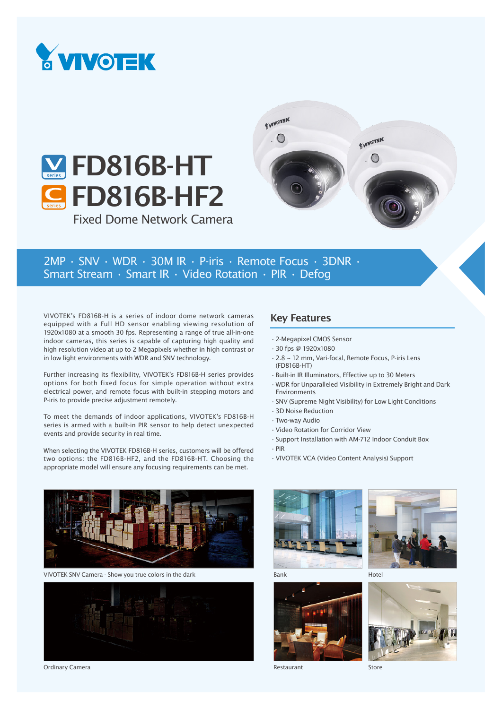





2MP • SNV • WDR • 30M IR • P-iris • Remote Focus • 3DNR • Smart Stream • Smart IR • Video Rotation • PIR • Defog

VIVOTEK's FD816B-H is a series of indoor dome network cameras equipped with a Full HD sensor enabling viewing resolution of 1920x1080 at a smooth 30 fps. Representing a range of true all-in-one indoor cameras, this series is capable of capturing high quality and high resolution video at up to 2 Megapixels whether in high contrast or in low light environments with WDR and SNV technology.

Further increasing its flexibility, VIVOTEK's FD816B-H series provides options for both fixed focus for simple operation without extra electrical power, and remote focus with built-in stepping motors and P-iris to provide precise adjustment remotely.

To meet the demands of indoor applications, VIVOTEK's FD816B-H series is armed with a built-in PIR sensor to help detect unexpected events and provide security in real time.

When selecting the VIVOTEK FD816B-H series, customers will be offered two options: the FD816B-HF2, and the FD816B-HT. Choosing the appropriate model will ensure any focusing requirements can be met.

## Key Features

- •2-Megapixel CMOS Sensor
- •30 fps @ 1920x1080
- •2.8 ~ 12 mm, Vari-focal, Remote Focus, P-iris Lens (FD816B-HT)
- •Built-in IR Illuminators, Effective up to 30 Meters
- •WDR for Unparalleled Visibility in Extremely Bright and Dark Environments
- •SNV (Supreme Night Visibility) for Low Light Conditions
- •3D Noise Reduction
- •Two-way Audio
- •Video Rotation for Corridor View
- •Support Installation with AM-712 Indoor Conduit Box
- •PIR
- •VIVOTEK VCA (Video Content Analysis) Support



VIVOTEK SNV Camera - Show you true colors in the dark



Ordinary Camera





Bank





Restaurant

Store